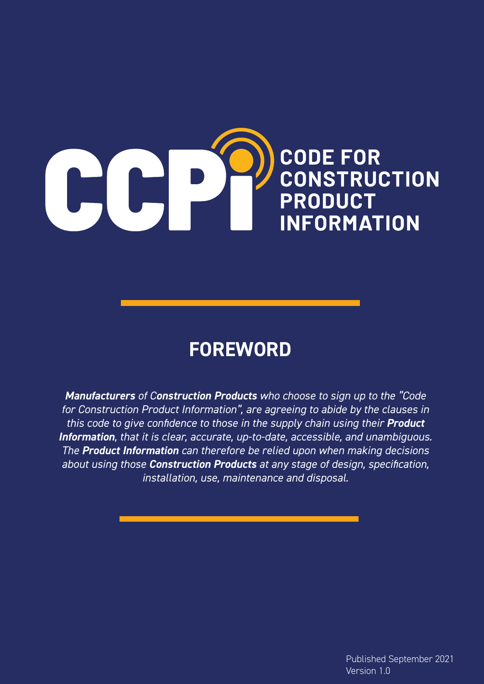

# **FOREWORD**

*Manufacturers of Construction Products who choose to sign up to the "Code for Construction Product Information", are agreeing to abide by the clauses in this code to give confidence to those in the supply chain using their Product Information, that it is clear, accurate, up-to-date, accessible, and unambiguous. The Product Information can therefore be relied upon when making decisions about using those Construction Products at any stage of design, specification, installation, use, maintenance and disposal.*

> Published September 2021 Version 1.0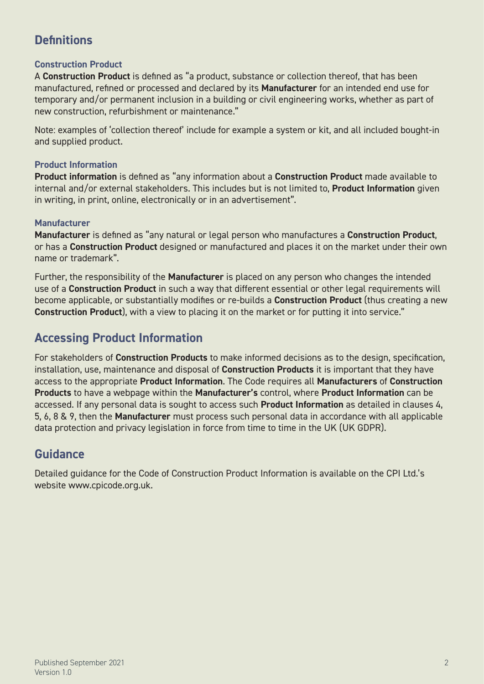# **Definitions**

## **Construction Product**

A **Construction Product** is defined as "a product, substance or collection thereof, that has been manufactured, refined or processed and declared by its **Manufacturer** for an intended end use for temporary and/or permanent inclusion in a building or civil engineering works, whether as part of new construction, refurbishment or maintenance."

Note: examples of 'collection thereof' include for example a system or kit, and all included bought-in and supplied product.

### **Product Information**

**Product information** is defined as "any information about a **Construction Product** made available to internal and/or external stakeholders. This includes but is not limited to, **Product Information** given in writing, in print, online, electronically or in an advertisement".

## **Manufacturer**

**Manufacturer** is defined as "any natural or legal person who manufactures a **Construction Product**, or has a **Construction Product** designed or manufactured and places it on the market under their own name or trademark".

Further, the responsibility of the **Manufacturer** is placed on any person who changes the intended use of a **Construction Product** in such a way that different essential or other legal requirements will become applicable, or substantially modifies or re-builds a **Construction Product** (thus creating a new **Construction Product**), with a view to placing it on the market or for putting it into service."

## **Accessing Product Information**

For stakeholders of **Construction Products** to make informed decisions as to the design, specification, installation, use, maintenance and disposal of **Construction Products** it is important that they have access to the appropriate **Product Information**. The Code requires all **Manufacturers** of **Construction Products** to have a webpage within the **Manufacturer's** control, where **Product Information** can be accessed. If any personal data is sought to access such **Product Information** as detailed in clauses 4, 5, 6, 8 & 9, then the **Manufacturer** must process such personal data in accordance with all applicable data protection and privacy legislation in force from time to time in the UK (UK GDPR).

## **Guidance**

Detailed guidance for the Code of Construction Product Information is available on the CPI Ltd.'s website www.cpicode.org.uk.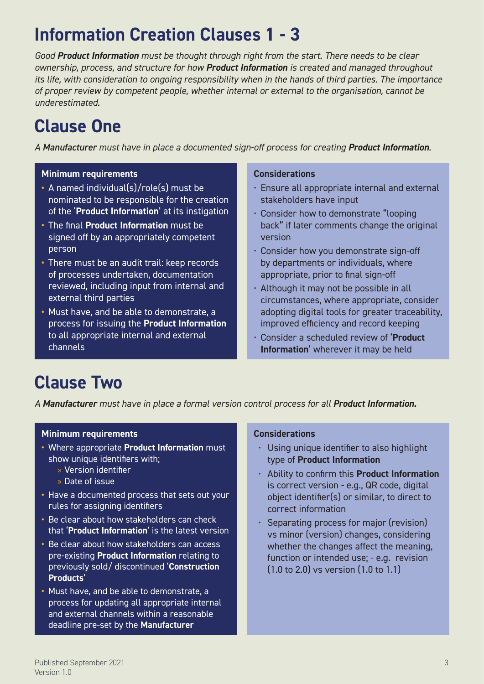# **Information Creation Clauses 1 - 3**

*Good Product Information must be thought through right from the start. There needs to be clear ownership, process, and structure for how Product Information is created and managed throughout its life, with consideration to ongoing responsibility when in the hands of third parties. The importance of proper review by competent people, whether internal or external to the organisation, cannot be underestimated.*

# **Clause One**

*A Manufacturer must have in place a documented sign-off process for creating Product Information.*

### **Minimum requirements**

- **•** A named individual(s)/role(s) must be nominated to be responsible for the creation of the '**Product Information**' at its instigation
- **•** The final **Product Information** must be signed off by an appropriately competent person
- **•** There must be an audit trail: keep records of processes undertaken, documentation reviewed, including input from internal and external third parties
- **•** Must have, and be able to demonstrate, a process for issuing the **Product Information** to all appropriate internal and external channels

### **Considerations**

- Ensure all appropriate internal and external stakeholders have input
- Consider how to demonstrate "looping back" if later comments change the original version
- Consider how you demonstrate sign-off by departments or individuals, where appropriate, prior to final sign-off
- Although it may not be possible in all circumstances, where appropriate, consider adopting digital tools for greater traceability, improved efficiency and record keeping
- Consider a scheduled review of '**Product Information**' wherever it may be held

# **Clause Two**

*A Manufacturer must have in place a formal version control process for all Product Information.*

### **Minimum requirements**

- **•** Where appropriate **Product Information** must show unique identifiers with;
	- » Version identifier
	- » Date of issue
- **•** Have a documented process that sets out your rules for assigning identifiers
- **•** Be clear about how stakeholders can check that '**Product Information**' is the latest version
- **•** Be clear about how stakeholders can access pre-existing **Product Information** relating to previously sold/ discontinued '**Construction Products**'
- **•** Must have, and be able to demonstrate, a process for updating all appropriate internal and external channels within a reasonable deadline pre-set by the **Manufacturer**

### **Considerations**

- Using unique identifier to also highlight type of **Product Information**
- Ability to confirm this **Product Information** is correct version - e.g., QR code, digital object identifier(s) or similar, to direct to correct information
- Separating process for major (revision) vs minor (version) changes, considering whether the changes affect the meaning, function or intended use; - e.g. revision (1.0 to 2.0) vs version (1.0 to 1.1)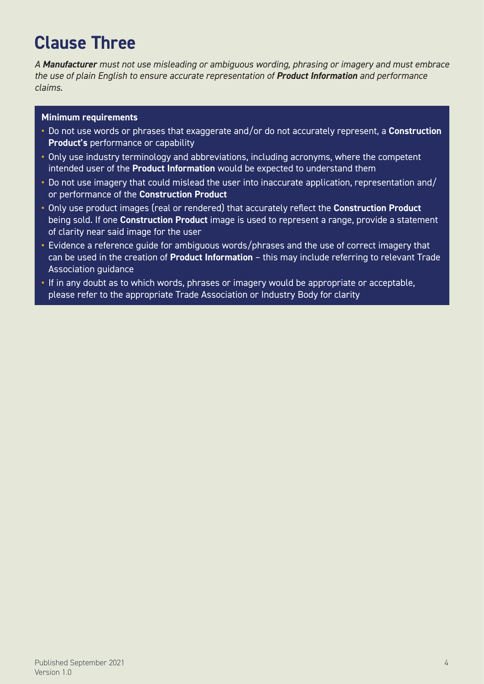# **Clause Three**

*A Manufacturer must not use misleading or ambiguous wording, phrasing or imagery and must embrace the use of plain English to ensure accurate representation of Product Information and performance claims.*

### **Minimum requirements**

- **•** Do not use words or phrases that exaggerate and/or do not accurately represent, a **Construction Product's** performance or capability
- **•** Only use industry terminology and abbreviations, including acronyms, where the competent intended user of the **Product Information** would be expected to understand them
- **•** Do not use imagery that could mislead the user into inaccurate application, representation and/ or performance of the **Construction Product**
- **•** Only use product images (real or rendered) that accurately reflect the **Construction Product** being sold. If one **Construction Product** image is used to represent a range, provide a statement of clarity near said image for the user
- **•** Evidence a reference guide for ambiguous words/phrases and the use of correct imagery that can be used in the creation of **Product Information** – this may include referring to relevant Trade Association guidance
- If in any doubt as to which words, phrases or imagery would be appropriate or acceptable, please refer to the appropriate Trade Association or Industry Body for clarity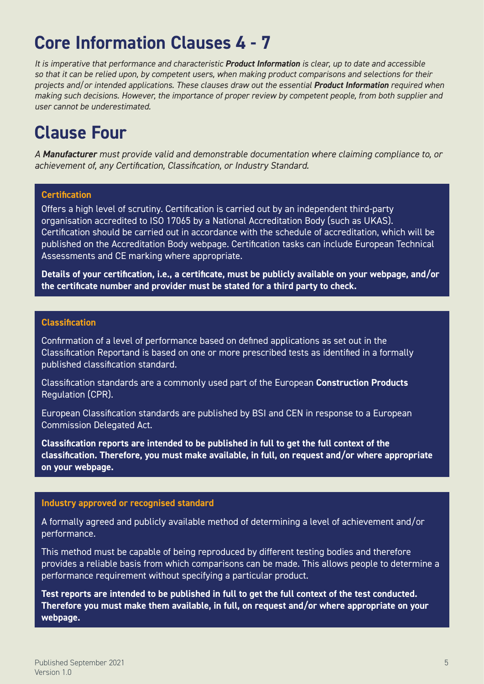# **Core Information Clauses 4 - 7**

*It is imperative that performance and characteristic Product Information is clear, up to date and accessible so that it can be relied upon, by competent users, when making product comparisons and selections for their projects and/or intended applications. These clauses draw out the essential Product Information required when making such decisions. However, the importance of proper review by competent people, from both supplier and user cannot be underestimated.*

# **Clause Four**

*A Manufacturer must provide valid and demonstrable documentation where claiming compliance to, or achievement of, any Certification, Classification, or Industry Standard.*

### **Certification**

Offers a high level of scrutiny. Certification is carried out by an independent third-party organisation accredited to ISO 17065 by a National Accreditation Body (such as UKAS). Certification should be carried out in accordance with the schedule of accreditation, which will be published on the Accreditation Body webpage. Certification tasks can include European Technical Assessments and CE marking where appropriate.

**Details of your certification, i.e., a certificate, must be publicly available on your webpage, and/or the certificate number and provider must be stated for a third party to check.**

#### **Classification**

Confirmation of a level of performance based on defined applications as set out in the Classification Reportand is based on one or more prescribed tests as identified in a formally published classification standard.

Classification standards are a commonly used part of the European **Construction Products** Regulation (CPR).

European Classification standards are published by BSI and CEN in response to a European Commission Delegated Act.

**Classification reports are intended to be published in full to get the full context of the classification. Therefore, you must make available, in full, on request and/or where appropriate on your webpage.**

### **Industry approved or recognised standard**

A formally agreed and publicly available method of determining a level of achievement and/or performance.

This method must be capable of being reproduced by different testing bodies and therefore provides a reliable basis from which comparisons can be made. This allows people to determine a performance requirement without specifying a particular product.

**Test reports are intended to be published in full to get the full context of the test conducted. Therefore you must make them available, in full, on request and/or where appropriate on your webpage.**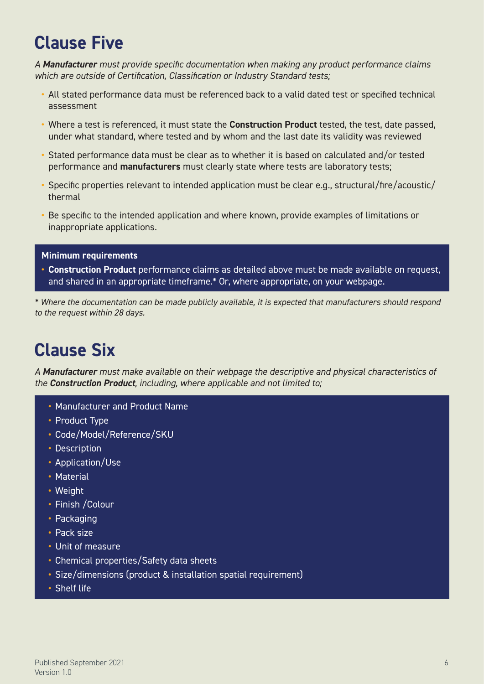# **Clause Five**

*A Manufacturer must provide specific documentation when making any product performance claims which are outside of Certification, Classification or Industry Standard tests;*

- **•** All stated performance data must be referenced back to a valid dated test or specified technical assessment
- **•** Where a test is referenced, it must state the **Construction Product** tested, the test, date passed, under what standard, where tested and by whom and the last date its validity was reviewed
- **•** Stated performance data must be clear as to whether it is based on calculated and/or tested performance and **manufacturers** must clearly state where tests are laboratory tests;
- **•** Specific properties relevant to intended application must be clear e.g., structural/fire/acoustic/ thermal
- **•** Be specific to the intended application and where known, provide examples of limitations or inappropriate applications.

### **Minimum requirements**

**• Construction Product** performance claims as detailed above must be made available on request, and shared in an appropriate timeframe.\* Or, where appropriate, on your webpage.

*\* Where the documentation can be made publicly available, it is expected that manufacturers should respond to the request within 28 days.* 

# **Clause Six**

*A Manufacturer must make available on their webpage the descriptive and physical characteristics of the Construction Product, including, where applicable and not limited to;*

- **•** Manufacturer and Product Name
- **•** Product Type
- **•** Code/Model/Reference/SKU
- **•** Description
- **•** Application/Use
- **•** Material
- **•** Weight
- **•** Finish /Colour
- **•** Packaging
- **•** Pack size
- **•** Unit of measure
- **•** Chemical properties/Safety data sheets
- **•** Size/dimensions (product & installation spatial requirement)
- **•** Shelf life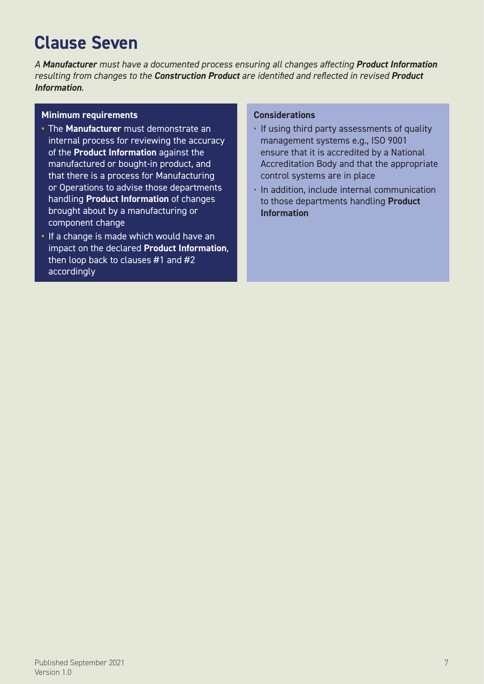# **Clause Seven**

*A Manufacturer must have a documented process ensuring all changes affecting Product Information resulting from changes to the Construction Product are identified and reflected in revised Product Information.*

#### **Minimum requirements**

- **•** The **Manufacturer** must demonstrate an internal process for reviewing the accuracy of the **Product Information** against the manufactured or bought-in product, and that there is a process for Manufacturing or Operations to advise those departments handling **Product Information** of changes brought about by a manufacturing or component change
- **•** If a change is made which would have an impact on the declared **Product Information**, then loop back to clauses #1 and #2 accordingly

### **Considerations**

- If using third party assessments of quality management systems e.g., ISO 9001 ensure that it is accredited by a National Accreditation Body and that the appropriate control systems are in place
- In addition, include internal communication to those departments handling **Product Information**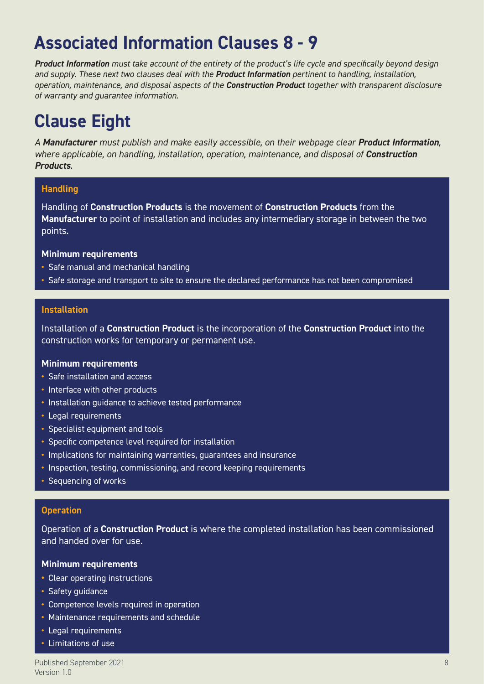# **Associated Information Clauses 8 - 9**

*Product Information must take account of the entirety of the product's life cycle and specifically beyond design and supply. These next two clauses deal with the Product Information pertinent to handling, installation, operation, maintenance, and disposal aspects of the Construction Product together with transparent disclosure of warranty and guarantee information.*

# **Clause Eight**

*A Manufacturer must publish and make easily accessible, on their webpage clear Product Information, where applicable, on handling, installation, operation, maintenance, and disposal of Construction Products.*

### **Handling**

Handling of **Construction Products** is the movement of **Construction Products** from the **Manufacturer** to point of installation and includes any intermediary storage in between the two points.

#### **Minimum requirements**

- **•** Safe manual and mechanical handling
- **•** Safe storage and transport to site to ensure the declared performance has not been compromised

#### **Installation**

Installation of a **Construction Product** is the incorporation of the **Construction Product** into the construction works for temporary or permanent use.

#### **Minimum requirements**

- **•** Safe installation and access
- **•** Interface with other products
- **•** Installation guidance to achieve tested performance
- **•** Legal requirements
- **•** Specialist equipment and tools
- **•** Specific competence level required for installation
- **•** Implications for maintaining warranties, guarantees and insurance
- **•** Inspection, testing, commissioning, and record keeping requirements
- **•** Sequencing of works

#### **Operation**

Operation of a **Construction Product** is where the completed installation has been commissioned and handed over for use.

#### **Minimum requirements**

- **•** Clear operating instructions
- **•** Safety guidance
- **•** Competence levels required in operation
- **•** Maintenance requirements and schedule
- **•** Legal requirements
- **•** Limitations of use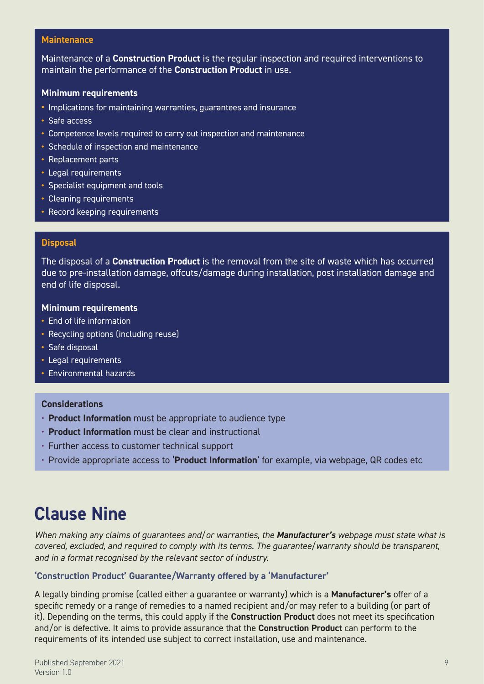#### **Maintenance**

Maintenance of a **Construction Product** is the regular inspection and required interventions to maintain the performance of the **Construction Product** in use.

#### **Minimum requirements**

- **•** Implications for maintaining warranties, guarantees and insurance
- **•** Safe access
- **•** Competence levels required to carry out inspection and maintenance
- **•** Schedule of inspection and maintenance
- **•** Replacement parts
- **•** Legal requirements
- **•** Specialist equipment and tools
- **•** Cleaning requirements
- **•** Record keeping requirements

#### **Disposal**

The disposal of a **Construction Product** is the removal from the site of waste which has occurred due to pre-installation damage, offcuts/damage during installation, post installation damage and end of life disposal.

#### **Minimum requirements**

- **•** End of life information
- **•** Recycling options (including reuse)
- **•** Safe disposal
- **•** Legal requirements
- **•** Environmental hazards

#### **Considerations**

- **Product Information** must be appropriate to audience type
- **Product Information** must be clear and instructional
- Further access to customer technical support
- Provide appropriate access to '**Product Information**' for example, via webpage, QR codes etc

# **Clause Nine**

*When making any claims of guarantees and/or warranties, the Manufacturer's webpage must state what is covered, excluded, and required to comply with its terms. The guarantee/warranty should be transparent, and in a format recognised by the relevant sector of industry.*

#### **'Construction Product' Guarantee/Warranty offered by a 'Manufacturer'**

A legally binding promise (called either a guarantee or warranty) which is a **Manufacturer's** offer of a specific remedy or a range of remedies to a named recipient and/or may refer to a building (or part of it). Depending on the terms, this could apply if the **Construction Product** does not meet its specification and/or is defective. It aims to provide assurance that the **Construction Product** can perform to the requirements of its intended use subject to correct installation, use and maintenance.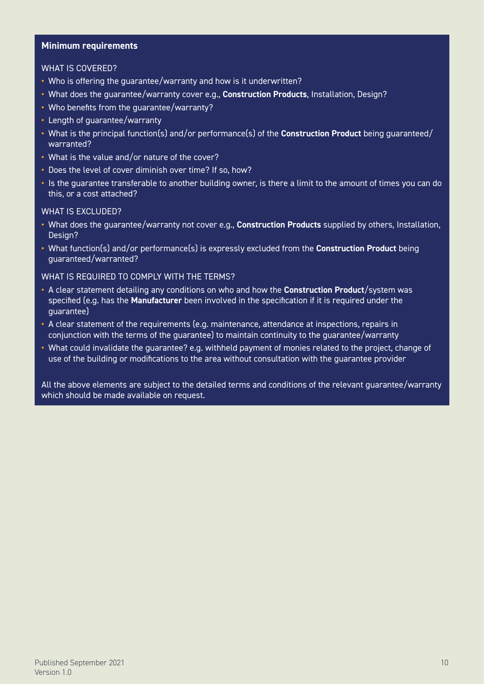#### **Minimum requirements**

#### WHAT IS COVERED?

- **•** Who is offering the guarantee/warranty and how is it underwritten?
- **•** What does the guarantee/warranty cover e.g., **Construction Products**, Installation, Design?
- **•** Who benefits from the guarantee/warranty?
- **•** Length of guarantee/warranty
- **•** What is the principal function(s) and/or performance(s) of the **Construction Product** being guaranteed/ warranted?
- **•** What is the value and/or nature of the cover?
- **•** Does the level of cover diminish over time? If so, how?
- **•** Is the guarantee transferable to another building owner, is there a limit to the amount of times you can do this, or a cost attached?

#### WHAT IS **EXCLUDED?**

- **•** What does the guarantee/warranty not cover e.g., **Construction Products** supplied by others, Installation, Design?
- **•** What function(s) and/or performance(s) is expressly excluded from the **Construction Product** being guaranteed/warranted?

#### WHAT IS REQUIRED TO COMPLY WITH THE TERMS?

- **•** A clear statement detailing any conditions on who and how the **Construction Product**/system was specified (e.g. has the **Manufacturer** been involved in the specification if it is required under the guarantee)
- **•** A clear statement of the requirements (e.g. maintenance, attendance at inspections, repairs in conjunction with the terms of the guarantee) to maintain continuity to the guarantee/warranty
- **•** What could invalidate the guarantee? e.g. withheld payment of monies related to the project, change of use of the building or modifications to the area without consultation with the guarantee provider

All the above elements are subject to the detailed terms and conditions of the relevant guarantee/warranty which should be made available on request.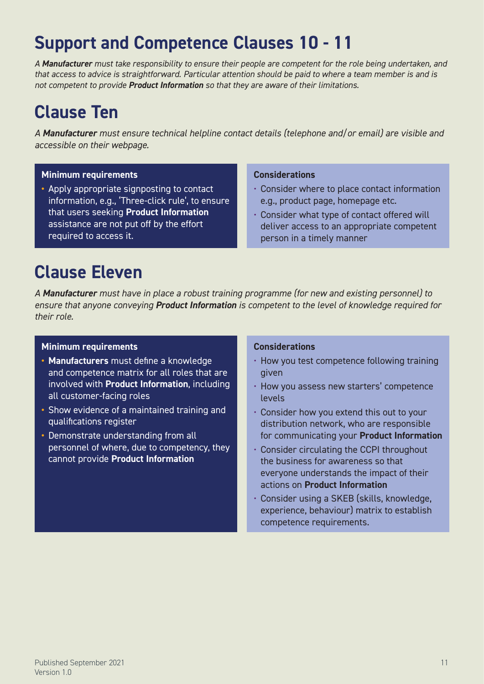# **Support and Competence Clauses 10 - 11**

*A Manufacturer must take responsibility to ensure their people are competent for the role being undertaken, and that access to advice is straightforward. Particular attention should be paid to where a team member is and is not competent to provide Product Information so that they are aware of their limitations.*

# **Clause Ten**

*A Manufacturer must ensure technical helpline contact details (telephone and/or email) are visible and accessible on their webpage.*

### **Minimum requirements**

**•** Apply appropriate signposting to contact information, e.g., 'Three-click rule', to ensure that users seeking **Product Information** assistance are not put off by the effort required to access it.

## **Considerations**

- Consider where to place contact information e.g., product page, homepage etc.
- Consider what type of contact offered will deliver access to an appropriate competent person in a timely manner

# **Clause Eleven**

*A Manufacturer must have in place a robust training programme (for new and existing personnel) to ensure that anyone conveying Product Information is competent to the level of knowledge required for their role.*

### **Minimum requirements**

- **• Manufacturers** must define a knowledge and competence matrix for all roles that are involved with **Product Information**, including all customer-facing roles
- **•** Show evidence of a maintained training and qualifications register
- **•** Demonstrate understanding from all personnel of where, due to competency, they cannot provide **Product Information**

### **Considerations**

- How you test competence following training given
- How you assess new starters' competence levels
- Consider how you extend this out to your distribution network, who are responsible for communicating your **Product Information**
- Consider circulating the CCPI throughout the business for awareness so that everyone understands the impact of their actions on **Product Information**
- Consider using a SKEB (skills, knowledge, experience, behaviour) matrix to establish competence requirements.